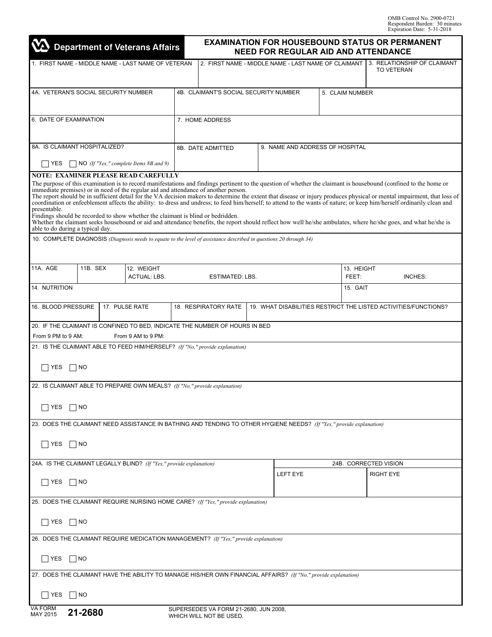٦

|                                                                                                                                                                                                                                                                                                                                                                                                                                                                                                                                                                                                                                                                                                                                                                                                                                                                                                                                                                                                                                                                                                 |                    |                 | <b>Department of Veterans Affairs</b>                               | <b>EXAMINATION FOR HOUSEBOUND STATUS OR PERMANENT</b><br><b>NEED FOR REGULAR AID AND ATTENDANCE</b>                  |  |                                                     |                     |                                                                 |  |  |
|-------------------------------------------------------------------------------------------------------------------------------------------------------------------------------------------------------------------------------------------------------------------------------------------------------------------------------------------------------------------------------------------------------------------------------------------------------------------------------------------------------------------------------------------------------------------------------------------------------------------------------------------------------------------------------------------------------------------------------------------------------------------------------------------------------------------------------------------------------------------------------------------------------------------------------------------------------------------------------------------------------------------------------------------------------------------------------------------------|--------------------|-----------------|---------------------------------------------------------------------|----------------------------------------------------------------------------------------------------------------------|--|-----------------------------------------------------|---------------------|-----------------------------------------------------------------|--|--|
|                                                                                                                                                                                                                                                                                                                                                                                                                                                                                                                                                                                                                                                                                                                                                                                                                                                                                                                                                                                                                                                                                                 |                    |                 | 1. FIRST NAME - MIDDLE NAME - LAST NAME OF VETERAN                  |                                                                                                                      |  | 2. FIRST NAME - MIDDLE NAME - LAST NAME OF CLAIMANT |                     | 3. RELATIONSHIP OF CLAIMANT<br>TO VETERAN                       |  |  |
| 4A. VETERAN'S SOCIAL SECURITY NUMBER                                                                                                                                                                                                                                                                                                                                                                                                                                                                                                                                                                                                                                                                                                                                                                                                                                                                                                                                                                                                                                                            |                    |                 |                                                                     | 4B. CLAIMANT'S SOCIAL SECURITY NUMBER                                                                                |  | 5. CLAIM NUMBER                                     |                     |                                                                 |  |  |
| 6. DATE OF EXAMINATION                                                                                                                                                                                                                                                                                                                                                                                                                                                                                                                                                                                                                                                                                                                                                                                                                                                                                                                                                                                                                                                                          |                    |                 |                                                                     | 7. HOME ADDRESS                                                                                                      |  |                                                     |                     |                                                                 |  |  |
| 8A. IS CLAIMANT HOSPITALIZED?                                                                                                                                                                                                                                                                                                                                                                                                                                                                                                                                                                                                                                                                                                                                                                                                                                                                                                                                                                                                                                                                   |                    |                 |                                                                     | 9. NAME AND ADDRESS OF HOSPITAL<br>8B. DATE ADMITTED                                                                 |  |                                                     |                     |                                                                 |  |  |
| YES                                                                                                                                                                                                                                                                                                                                                                                                                                                                                                                                                                                                                                                                                                                                                                                                                                                                                                                                                                                                                                                                                             |                    |                 | $\Box$ NO (If "Yes," complete Items 8B and 9)                       |                                                                                                                      |  |                                                     |                     |                                                                 |  |  |
| <b>NOTE: EXAMINER PLEASE READ CAREFULLY</b><br>The purpose of this examination is to record manifestations and findings pertinent to the question of whether the claimant is housebound (confined to the home or<br>immediate premises) or in need of the regular aid and attendance of another person.<br>The report should be in sufficient detail for the VA decision makers to determine the extent that disease or injury produces physical or mental impairment, that loss of<br>coordination or enfeeblement affects the ability: to dress and undress; to feed him/herself; to attend to the wants of nature; or keep him/herself ordinarily clean and<br>presentable.<br>Findings should be recorded to show whether the claimant is blind or bedridden.<br>Whether the claimant seeks housebound or aid and attendance benefits, the report should reflect how well he/she ambulates, where he/she goes, and what he/she is<br>able to do during a typical day.<br>10. COMPLETE DIAGNOSIS (Diagnosis needs to equate to the level of assistance described in questions 20 through 34) |                    |                 |                                                                     |                                                                                                                      |  |                                                     |                     |                                                                 |  |  |
|                                                                                                                                                                                                                                                                                                                                                                                                                                                                                                                                                                                                                                                                                                                                                                                                                                                                                                                                                                                                                                                                                                 |                    |                 |                                                                     |                                                                                                                      |  |                                                     |                     |                                                                 |  |  |
| 11A. AGE                                                                                                                                                                                                                                                                                                                                                                                                                                                                                                                                                                                                                                                                                                                                                                                                                                                                                                                                                                                                                                                                                        |                    | <b>11B. SEX</b> | 12. WEIGHT<br>ACTUAL: LBS.                                          | <b>ESTIMATED: LBS.</b>                                                                                               |  |                                                     | 13. HEIGHT<br>FEET: | INCHES:                                                         |  |  |
| 14. NUTRITION                                                                                                                                                                                                                                                                                                                                                                                                                                                                                                                                                                                                                                                                                                                                                                                                                                                                                                                                                                                                                                                                                   |                    |                 |                                                                     |                                                                                                                      |  |                                                     | 15. GAIT            |                                                                 |  |  |
|                                                                                                                                                                                                                                                                                                                                                                                                                                                                                                                                                                                                                                                                                                                                                                                                                                                                                                                                                                                                                                                                                                 |                    |                 |                                                                     |                                                                                                                      |  |                                                     |                     |                                                                 |  |  |
| 16. BLOOD PRESSURE                                                                                                                                                                                                                                                                                                                                                                                                                                                                                                                                                                                                                                                                                                                                                                                                                                                                                                                                                                                                                                                                              |                    |                 | 17. PULSE RATE                                                      | 18. RESPIRATORY RATE                                                                                                 |  |                                                     |                     | 19. WHAT DISABILITIES RESTRICT THE LISTED ACTIVITIES/FUNCTIONS? |  |  |
| 20. IF THE CLAIMANT IS CONFINED TO BED, INDICATE THE NUMBER OF HOURS IN BED                                                                                                                                                                                                                                                                                                                                                                                                                                                                                                                                                                                                                                                                                                                                                                                                                                                                                                                                                                                                                     |                    |                 |                                                                     |                                                                                                                      |  |                                                     |                     |                                                                 |  |  |
| From 9 PM to 9 AM:<br>From 9 AM to 9 PM:                                                                                                                                                                                                                                                                                                                                                                                                                                                                                                                                                                                                                                                                                                                                                                                                                                                                                                                                                                                                                                                        |                    |                 |                                                                     |                                                                                                                      |  |                                                     |                     |                                                                 |  |  |
| 21. IS THE CLAIMANT ABLE TO FEED HIM/HERSELF? (If "No," provide explanation)                                                                                                                                                                                                                                                                                                                                                                                                                                                                                                                                                                                                                                                                                                                                                                                                                                                                                                                                                                                                                    |                    |                 |                                                                     |                                                                                                                      |  |                                                     |                     |                                                                 |  |  |
| YES<br>    NO                                                                                                                                                                                                                                                                                                                                                                                                                                                                                                                                                                                                                                                                                                                                                                                                                                                                                                                                                                                                                                                                                   |                    |                 |                                                                     |                                                                                                                      |  |                                                     |                     |                                                                 |  |  |
|                                                                                                                                                                                                                                                                                                                                                                                                                                                                                                                                                                                                                                                                                                                                                                                                                                                                                                                                                                                                                                                                                                 |                    |                 |                                                                     | 22. IS CLAIMANT ABLE TO PREPARE OWN MEALS? (If "No," provide explanation)                                            |  |                                                     |                     |                                                                 |  |  |
| YES                                                                                                                                                                                                                                                                                                                                                                                                                                                                                                                                                                                                                                                                                                                                                                                                                                                                                                                                                                                                                                                                                             | ∣ NO               |                 |                                                                     |                                                                                                                      |  |                                                     |                     |                                                                 |  |  |
|                                                                                                                                                                                                                                                                                                                                                                                                                                                                                                                                                                                                                                                                                                                                                                                                                                                                                                                                                                                                                                                                                                 |                    |                 |                                                                     | 23. DOES THE CLAIMANT NEED ASSISTANCE IN BATHING AND TENDING TO OTHER HYGIENE NEEDS? (If "Yes," provide explanation) |  |                                                     |                     |                                                                 |  |  |
| YES                                                                                                                                                                                                                                                                                                                                                                                                                                                                                                                                                                                                                                                                                                                                                                                                                                                                                                                                                                                                                                                                                             | $\vert$ $\vert$ NO |                 |                                                                     |                                                                                                                      |  |                                                     |                     |                                                                 |  |  |
|                                                                                                                                                                                                                                                                                                                                                                                                                                                                                                                                                                                                                                                                                                                                                                                                                                                                                                                                                                                                                                                                                                 |                    |                 | 24A. IS THE CLAIMANT LEGALLY BLIND? (If "Yes," provide explanation) |                                                                                                                      |  |                                                     |                     | 24B. CORRECTED VISION                                           |  |  |
| YES                                                                                                                                                                                                                                                                                                                                                                                                                                                                                                                                                                                                                                                                                                                                                                                                                                                                                                                                                                                                                                                                                             | NO                 |                 |                                                                     |                                                                                                                      |  | <b>LEFT EYE</b>                                     |                     | <b>RIGHT EYE</b>                                                |  |  |
|                                                                                                                                                                                                                                                                                                                                                                                                                                                                                                                                                                                                                                                                                                                                                                                                                                                                                                                                                                                                                                                                                                 |                    |                 |                                                                     | 25. DOES THE CLAIMANT REQUIRE NURSING HOME CARE? (If "Yes," provide explanation)                                     |  |                                                     |                     |                                                                 |  |  |
| YES<br>$\vert$ $\vert$ NO                                                                                                                                                                                                                                                                                                                                                                                                                                                                                                                                                                                                                                                                                                                                                                                                                                                                                                                                                                                                                                                                       |                    |                 |                                                                     |                                                                                                                      |  |                                                     |                     |                                                                 |  |  |
|                                                                                                                                                                                                                                                                                                                                                                                                                                                                                                                                                                                                                                                                                                                                                                                                                                                                                                                                                                                                                                                                                                 |                    |                 |                                                                     | 26. DOES THE CLAIMANT REQUIRE MEDICATION MANAGEMENT? (If "Yes," provide explanation)                                 |  |                                                     |                     |                                                                 |  |  |
| $\sqcap$ YES<br>$\vert$ $\vert$ NO                                                                                                                                                                                                                                                                                                                                                                                                                                                                                                                                                                                                                                                                                                                                                                                                                                                                                                                                                                                                                                                              |                    |                 |                                                                     |                                                                                                                      |  |                                                     |                     |                                                                 |  |  |
| 27. DOES THE CLAIMANT HAVE THE ABILITY TO MANAGE HIS/HER OWN FINANCIAL AFFAIRS? (If "No," provide explanation)                                                                                                                                                                                                                                                                                                                                                                                                                                                                                                                                                                                                                                                                                                                                                                                                                                                                                                                                                                                  |                    |                 |                                                                     |                                                                                                                      |  |                                                     |                     |                                                                 |  |  |
| YES                                                                                                                                                                                                                                                                                                                                                                                                                                                                                                                                                                                                                                                                                                                                                                                                                                                                                                                                                                                                                                                                                             | $\vert$ $\vert$ NO |                 |                                                                     |                                                                                                                      |  |                                                     |                     |                                                                 |  |  |
| VA FORM<br>MAY 2015                                                                                                                                                                                                                                                                                                                                                                                                                                                                                                                                                                                                                                                                                                                                                                                                                                                                                                                                                                                                                                                                             |                    | 21-2680         |                                                                     | SUPERSEDES VA FORM 21-2680, JUN 2008,<br>WHICH WILL NOT BE USED.                                                     |  |                                                     |                     |                                                                 |  |  |